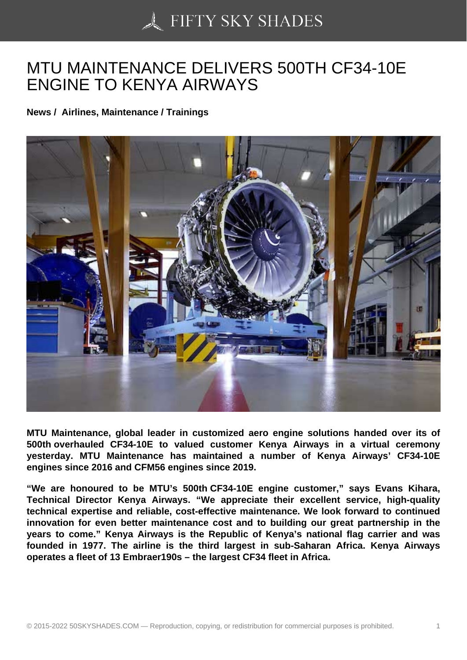## [MTU MAINTENANCE](https://50skyshades.com) DELIVERS 500TH CF34-10E ENGINE TO KENYA AIRWAYS

News / Airlines, Maintenance / Trainings

MTU Maintenance, global leader in customized aero engine solutions handed over its of 500th overhauled CF34-10E to valued customer Kenya Airways in a virtual ceremony yesterday. MTU Maintenance has maintained a number of Kenya Airways' CF34-10E engines since 2016 and CFM56 engines since 2019.

"We are honoured to be MTU's 500th CF34-10E engine customer," says Evans Kihara, Technical Director Kenya Airways. "We appreciate their excellent service, high-quality technical expertise and reliable, cost-effective maintenance. We look forward to continued innovation for even better maintenance cost and to building our great partnership in the years to come." Kenya Airways is the Republic of Kenya's national flag carrier and was founded in 1977. The airline is the third largest in sub-Saharan Africa. Kenya Airways operates a fleet of 13 Embraer190s – the largest CF34 fleet in Africa.